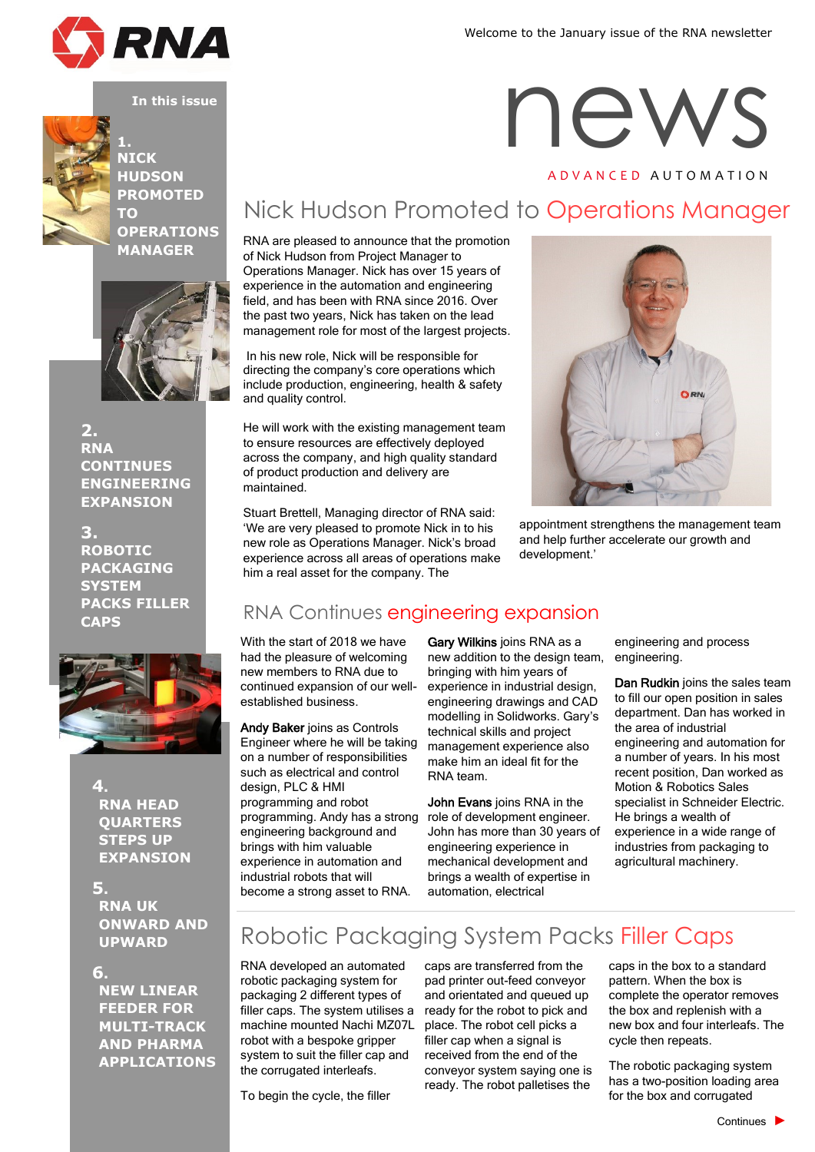

Welcome to the January issue of the RNA newsletter



**1. NICK HUDSON PROMOTED TO OPERATIONS MANAGER**



**2. RNA CONTINUES ENGINEERING EXPANSION**

**3. ROBOTIC PACKAGING SYSTEM PACKS FILLER CAPS**



**4. RNA HEAD QUARTERS STEPS UP EXPANSION**

**5.**

**RNA UK ONWARD AND UPWARD**

## **6.**

**NEW LINEAR FEEDER FOR MULTI-TRACK AND PHARMA APPLICATIONS**

# I **RNA**<br>In this issue<br>In this issue<br>In this issue A D V A N C E D A U T O M A T I O N

# Nick Hudson Promoted to Operations Manager

RNA are pleased to announce that the promotion of Nick Hudson from Project Manager to Operations Manager. Nick has over 15 years of experience in the automation and engineering field, and has been with RNA since 2016. Over the past two years, Nick has taken on the lead management role for most of the largest projects.

In his new role, Nick will be responsible for directing the company's core operations which include production, engineering, health & safety and quality control.

He will work with the existing management team to ensure resources are effectively deployed across the company, and high quality standard of product production and delivery are maintained.

Stuart Brettell, Managing director of RNA said: 'We are very pleased to promote Nick in to his new role as Operations Manager. Nick's broad experience across all areas of operations make him a real asset for the company. The



appointment strengthens the management team and help further accelerate our growth and development.'

# RNA Continues engineering expansion

With the start of 2018 we have had the pleasure of welcoming new members to RNA due to continued expansion of our wellestablished business.

Andy Baker joins as Controls Engineer where he will be taking on a number of responsibilities such as electrical and control design, PLC & HMI programming and robot programming. Andy has a strong role of development engineer. engineering background and brings with him valuable experience in automation and industrial robots that will become a strong asset to RNA.

Gary Wilkins joins RNA as a new addition to the design team, bringing with him years of experience in industrial design, engineering drawings and CAD modelling in Solidworks. Gary's technical skills and project management experience also make him an ideal fit for the RNA team.

John Evans joins RNA in the John has more than 30 years of engineering experience in mechanical development and brings a wealth of expertise in automation, electrical

engineering and process engineering.

Dan Rudkin joins the sales team to fill our open position in sales department. Dan has worked in the area of industrial engineering and automation for a number of years. In his most recent position, Dan worked as Motion & Robotics Sales specialist in Schneider Electric. He brings a wealth of experience in a wide range of industries from packaging to agricultural machinery.

# Robotic Packaging System Packs Filler Caps

RNA developed an automated robotic packaging system for packaging 2 different types of filler caps. The system utilises a machine mounted Nachi MZ07L robot with a bespoke gripper system to suit the filler cap and the corrugated interleafs.

To begin the cycle, the filler

caps are transferred from the pad printer out-feed conveyor and orientated and queued up ready for the robot to pick and place. The robot cell picks a filler cap when a signal is received from the end of the conveyor system saying one is ready. The robot palletises the

caps in the box to a standard pattern. When the box is complete the operator removes the box and replenish with a new box and four interleafs. The cycle then repeats.

The robotic packaging system has a two-position loading area for the box and corrugated